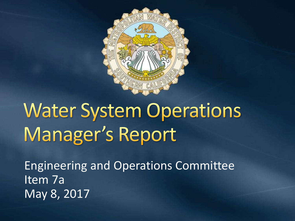

# **Water System Operations** Manager's Report

Engineering and Operations Committee Item 7a May 8, 2017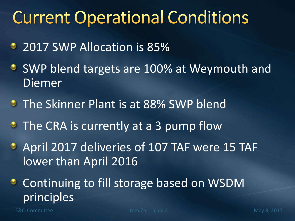#### **Current Operational Conditions**

- 2017 SWP Allocation is 85%
- **SWP blend targets are 100% at Weymouth and** Diemer
- **The Skinner Plant is at 88% SWP blend**
- **The CRA is currently at a 3 pump flow**
- April 2017 deliveries of 107 TAF were 15 TAF lower than April 2016
- **Continuing to fill storage based on WSDM** principles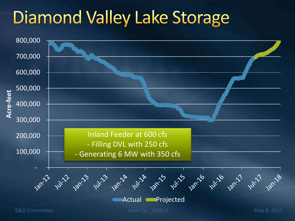# **Diamond Valley Lake Storage**

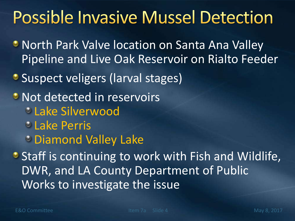## **Possible Invasive Mussel Detection**

- **North Park Valve location on Santa Ana Valley** Pipeline and Live Oak Reservoir on Rialto Feeder
- Suspect veligers (larval stages)
- Not detected in reservoirs
	- Lake Silverwood
	- **Lake Perris**
	- Diamond Valley Lake

**• Staff is continuing to work with Fish and Wildlife,** DWR, and LA County Department of Public Works to investigate the issue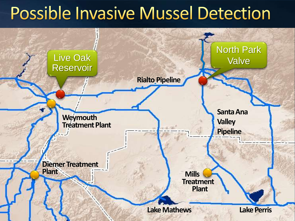## Possible Invasive Mussel Detection